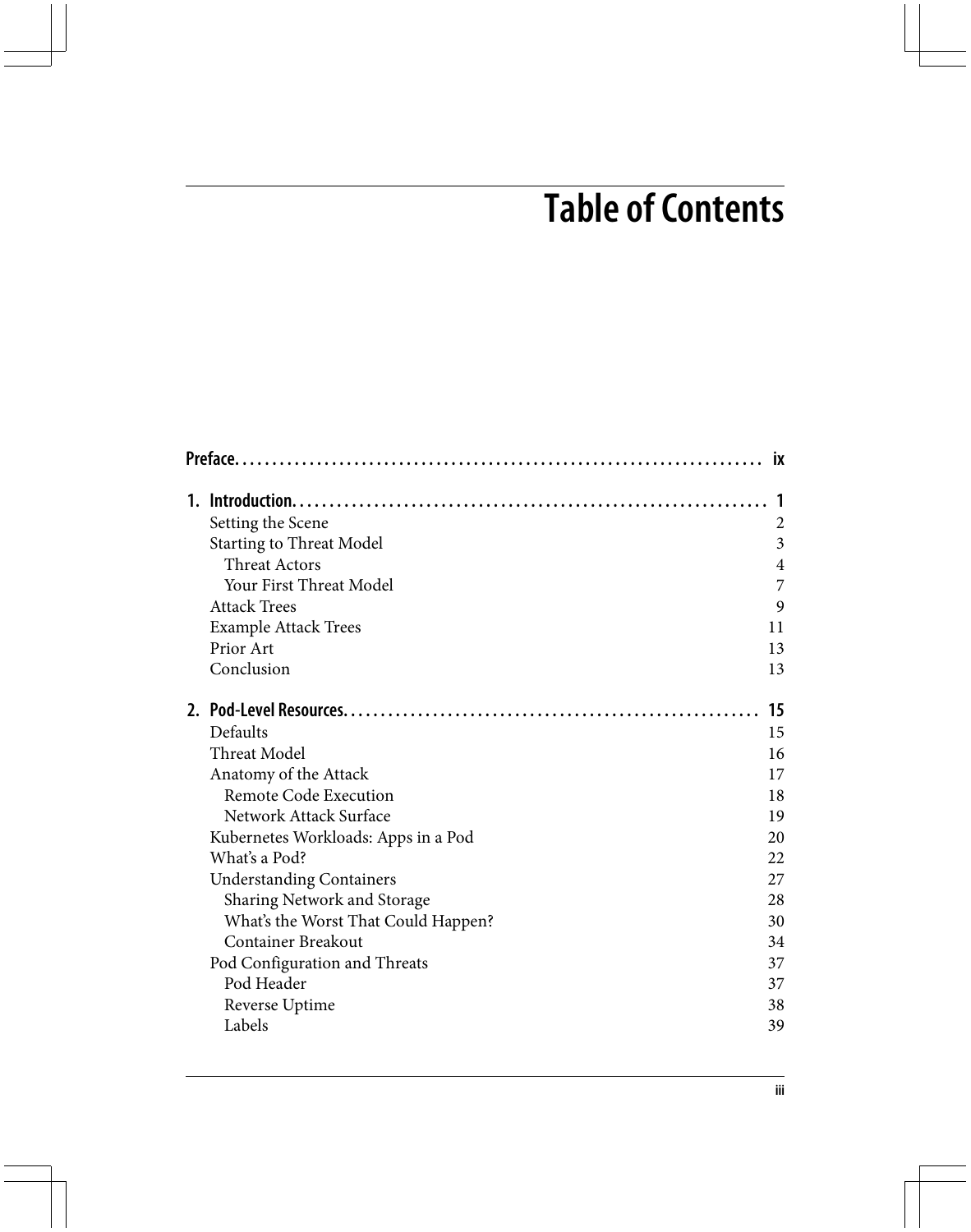## **Table of Contents**

|  | <b>ix</b>                           |                |  |
|--|-------------------------------------|----------------|--|
|  |                                     |                |  |
|  | Setting the Scene                   | $\overline{c}$ |  |
|  | <b>Starting to Threat Model</b>     | 3              |  |
|  | <b>Threat Actors</b>                | 4              |  |
|  | Your First Threat Model             | 7              |  |
|  | <b>Attack Trees</b>                 | 9              |  |
|  | <b>Example Attack Trees</b>         | 11             |  |
|  | Prior Art                           | 13             |  |
|  | Conclusion                          | 13             |  |
|  |                                     | 15             |  |
|  | Defaults                            | 15             |  |
|  | <b>Threat Model</b>                 | 16             |  |
|  | Anatomy of the Attack               | 17             |  |
|  | <b>Remote Code Execution</b>        | 18             |  |
|  | Network Attack Surface              | 19             |  |
|  | Kubernetes Workloads: Apps in a Pod | 20             |  |
|  | What's a Pod?                       | 22             |  |
|  | <b>Understanding Containers</b>     | 27             |  |
|  | Sharing Network and Storage         | 28             |  |
|  | What's the Worst That Could Happen? | 30             |  |
|  | <b>Container Breakout</b>           | 34             |  |
|  | Pod Configuration and Threats       | 37             |  |
|  | Pod Header                          | 37             |  |
|  | Reverse Uptime                      | 38             |  |
|  | Labels                              | 39             |  |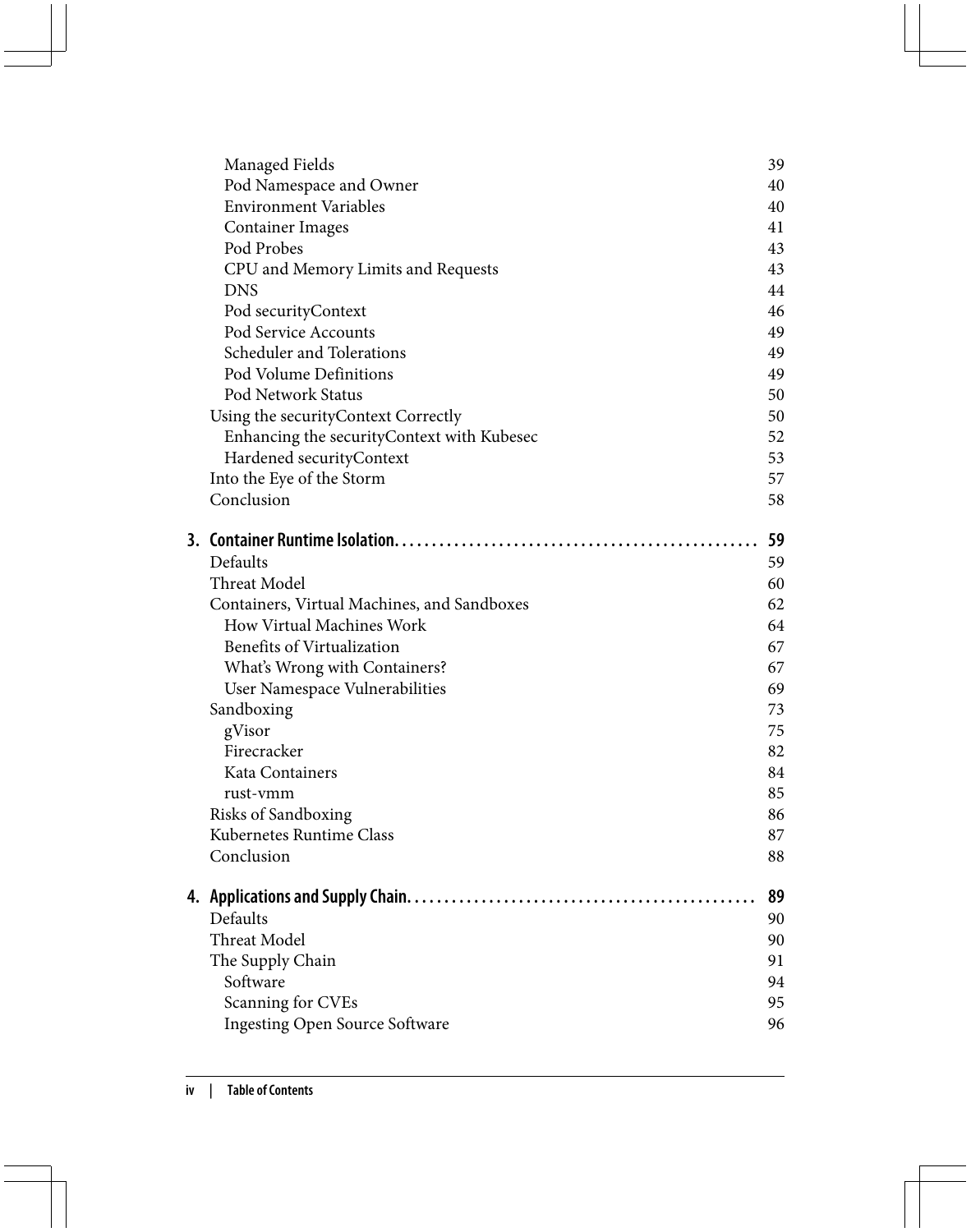|    | Managed Fields                              | 39 |
|----|---------------------------------------------|----|
|    | Pod Namespace and Owner                     | 40 |
|    | <b>Environment Variables</b>                | 40 |
|    | Container Images                            | 41 |
|    | Pod Probes                                  | 43 |
|    | CPU and Memory Limits and Requests          | 43 |
|    | <b>DNS</b>                                  | 44 |
|    | Pod securityContext                         | 46 |
|    | Pod Service Accounts                        | 49 |
|    | Scheduler and Tolerations                   | 49 |
|    | Pod Volume Definitions                      | 49 |
|    | Pod Network Status                          | 50 |
|    | Using the security Context Correctly        | 50 |
|    | Enhancing the security Context with Kubesec | 52 |
|    | Hardened securityContext                    | 53 |
|    | Into the Eye of the Storm                   | 57 |
|    | Conclusion                                  | 58 |
|    |                                             | 59 |
|    | Defaults                                    | 59 |
|    | Threat Model                                | 60 |
|    | Containers, Virtual Machines, and Sandboxes | 62 |
|    | How Virtual Machines Work                   | 64 |
|    | Benefits of Virtualization                  | 67 |
|    | What's Wrong with Containers?               | 67 |
|    | User Namespace Vulnerabilities              | 69 |
|    | Sandboxing                                  | 73 |
|    | gVisor                                      | 75 |
|    | Firecracker                                 | 82 |
|    | Kata Containers                             | 84 |
|    | rust-vmm                                    | 85 |
|    | Risks of Sandboxing                         | 86 |
|    | Kubernetes Runtime Class                    | 87 |
|    | Conclusion                                  | 88 |
|    |                                             | 89 |
| 4. | <b>Applications and Supply Chain</b>        |    |
|    | Defaults                                    | 90 |
|    | Threat Model                                | 90 |
|    | The Supply Chain                            | 91 |
|    | Software                                    | 94 |
|    | Scanning for CVEs                           | 95 |
|    | <b>Ingesting Open Source Software</b>       | 96 |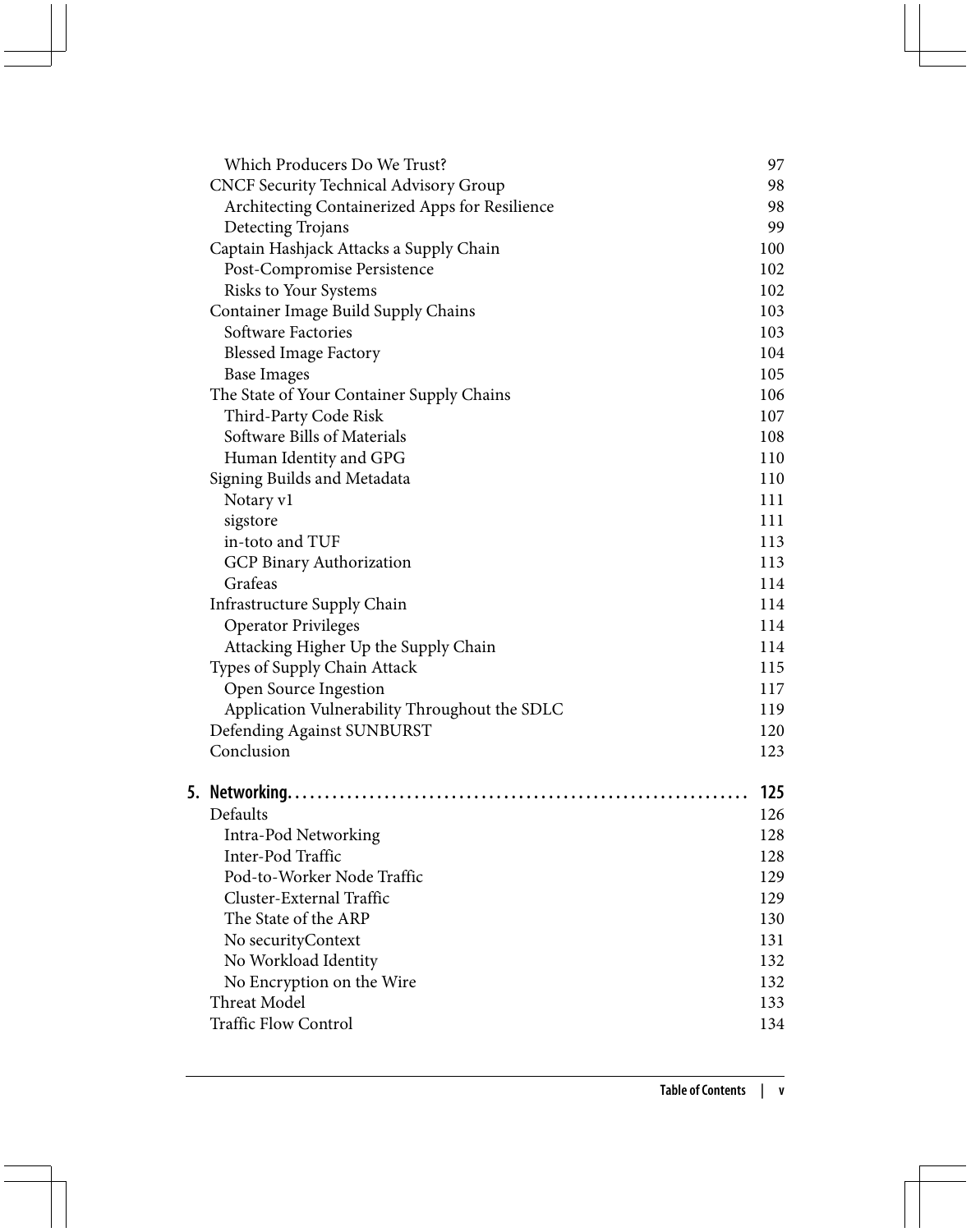| Which Producers Do We Trust?                   | 97  |
|------------------------------------------------|-----|
| <b>CNCF Security Technical Advisory Group</b>  | 98  |
| Architecting Containerized Apps for Resilience | 98  |
| Detecting Trojans                              | 99  |
| Captain Hashjack Attacks a Supply Chain        | 100 |
| Post-Compromise Persistence                    | 102 |
| Risks to Your Systems                          | 102 |
| Container Image Build Supply Chains            | 103 |
| Software Factories                             | 103 |
| <b>Blessed Image Factory</b>                   | 104 |
| <b>Base Images</b>                             | 105 |
| The State of Your Container Supply Chains      | 106 |
| Third-Party Code Risk                          | 107 |
| Software Bills of Materials                    | 108 |
| Human Identity and GPG                         | 110 |
| Signing Builds and Metadata                    | 110 |
| Notary v1                                      | 111 |
| sigstore                                       | 111 |
| in-toto and TUF                                | 113 |
| GCP Binary Authorization                       | 113 |
| Grafeas                                        | 114 |
| Infrastructure Supply Chain                    | 114 |
| <b>Operator Privileges</b>                     | 114 |
| Attacking Higher Up the Supply Chain           | 114 |
| Types of Supply Chain Attack                   | 115 |
| Open Source Ingestion                          | 117 |
| Application Vulnerability Throughout the SDLC  | 119 |
| Defending Against SUNBURST                     | 120 |
| Conclusion                                     | 123 |
|                                                |     |
|                                                | 125 |
| Defaults                                       | 126 |
| Intra-Pod Networking                           | 128 |
| Inter-Pod Traffic                              | 128 |
| Pod-to-Worker Node Traffic                     | 129 |
| Cluster-External Traffic                       | 129 |
| The State of the ARP                           | 130 |
| No securityContext                             | 131 |
| No Workload Identity                           | 132 |
| No Encryption on the Wire                      | 132 |
| Threat Model                                   | 133 |
| <b>Traffic Flow Control</b>                    | 134 |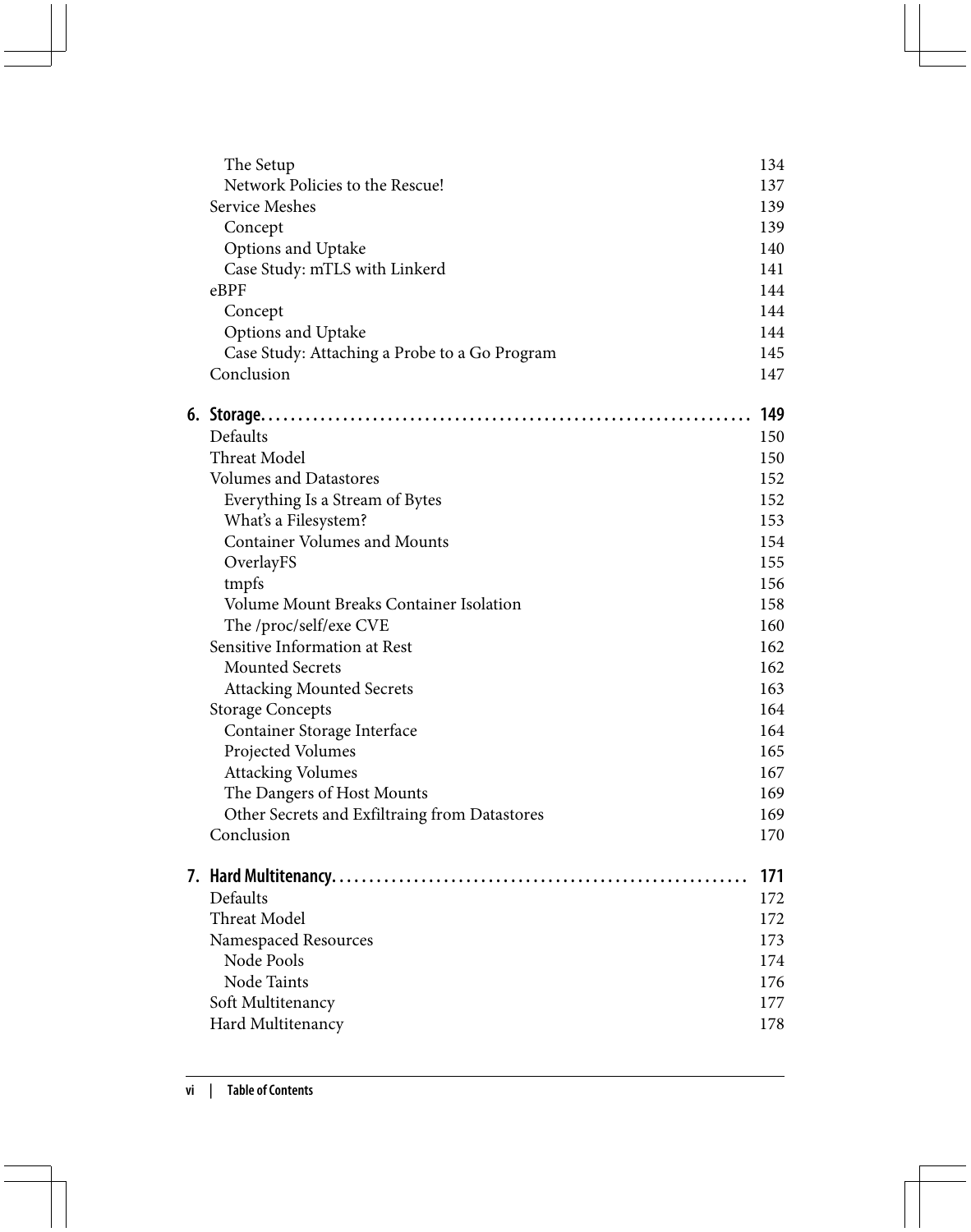| The Setup                                     | 134 |
|-----------------------------------------------|-----|
| Network Policies to the Rescue!               | 137 |
| Service Meshes                                | 139 |
| Concept                                       | 139 |
| Options and Uptake                            | 140 |
| Case Study: mTLS with Linkerd                 | 141 |
| eBPF                                          | 144 |
| Concept                                       | 144 |
| Options and Uptake                            | 144 |
| Case Study: Attaching a Probe to a Go Program | 145 |
| Conclusion                                    | 147 |
|                                               | 149 |
| Defaults                                      | 150 |
| <b>Threat Model</b>                           | 150 |
| <b>Volumes and Datastores</b>                 | 152 |
| Everything Is a Stream of Bytes               | 152 |
| What's a Filesystem?                          | 153 |
| <b>Container Volumes and Mounts</b>           | 154 |
| OverlayFS                                     | 155 |
| tmpfs                                         | 156 |
| Volume Mount Breaks Container Isolation       | 158 |
| The /proc/self/exe CVE                        | 160 |
| Sensitive Information at Rest                 | 162 |
| <b>Mounted Secrets</b>                        | 162 |
| <b>Attacking Mounted Secrets</b>              | 163 |
| <b>Storage Concepts</b>                       | 164 |
| Container Storage Interface                   | 164 |
| Projected Volumes                             | 165 |
| <b>Attacking Volumes</b>                      | 167 |
| The Dangers of Host Mounts                    | 169 |
| Other Secrets and Exfiltraing from Datastores | 169 |
| Conclusion                                    | 170 |
|                                               | 171 |
| Defaults                                      | 172 |
| Threat Model                                  | 172 |
| Namespaced Resources                          | 173 |
| Node Pools                                    | 174 |
| Node Taints                                   | 176 |
| Soft Multitenancy                             | 177 |
| Hard Multitenancy                             | 178 |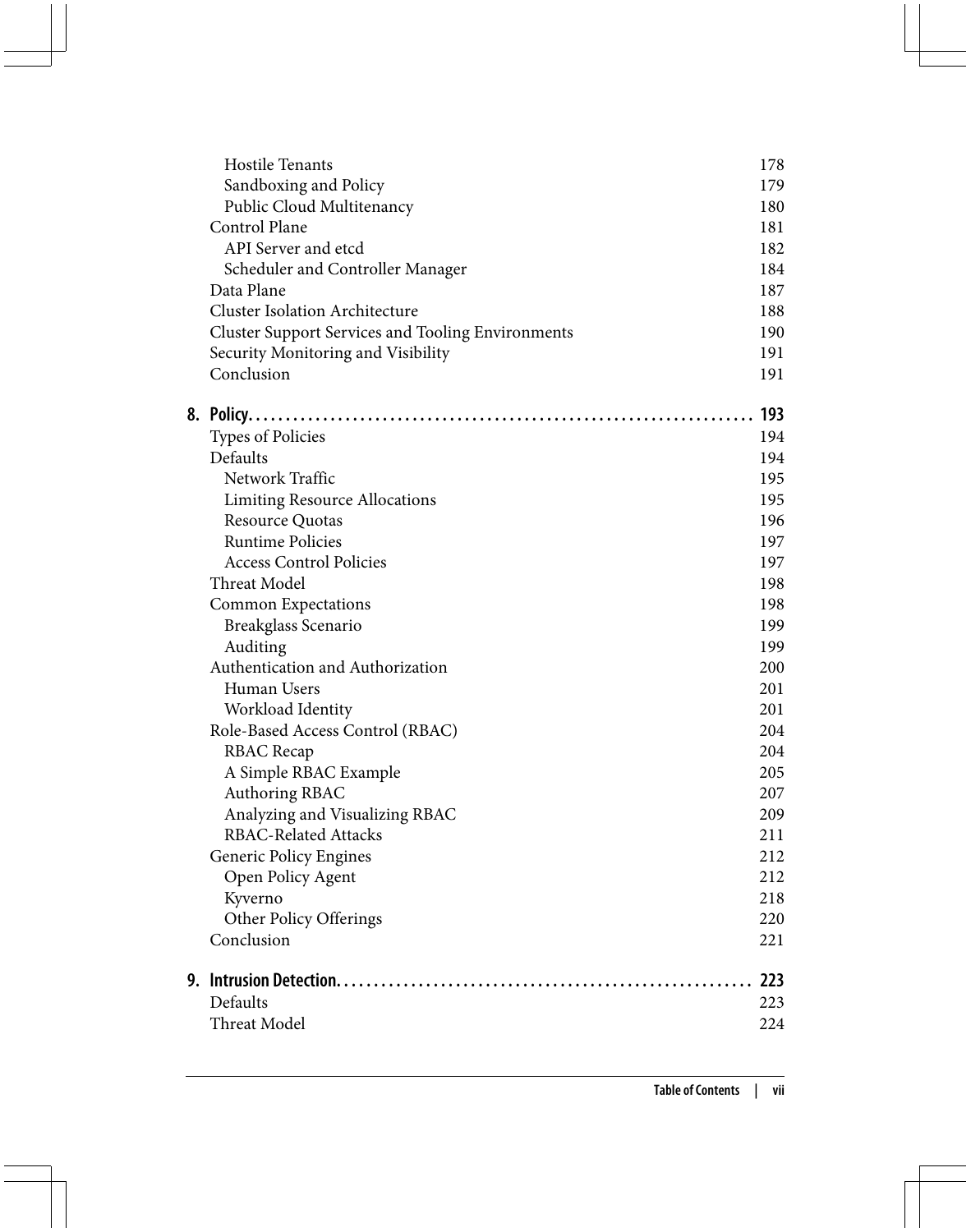| Hostile Tenants                                          | 178 |
|----------------------------------------------------------|-----|
| Sandboxing and Policy                                    | 179 |
| Public Cloud Multitenancy                                | 180 |
| Control Plane                                            | 181 |
| API Server and etcd                                      | 182 |
| Scheduler and Controller Manager                         | 184 |
| Data Plane                                               | 187 |
| <b>Cluster Isolation Architecture</b>                    | 188 |
| <b>Cluster Support Services and Tooling Environments</b> | 190 |
| Security Monitoring and Visibility                       | 191 |
| Conclusion                                               | 191 |
|                                                          | 193 |
| <b>Types of Policies</b>                                 | 194 |
| Defaults                                                 | 194 |
| Network Traffic                                          | 195 |
| <b>Limiting Resource Allocations</b>                     | 195 |
| Resource Quotas                                          | 196 |
| <b>Runtime Policies</b>                                  | 197 |
| <b>Access Control Policies</b>                           | 197 |
| Threat Model                                             | 198 |
| <b>Common Expectations</b>                               | 198 |
| Breakglass Scenario                                      | 199 |
| Auditing                                                 | 199 |
| Authentication and Authorization                         | 200 |
| Human Users                                              | 201 |
| Workload Identity                                        | 201 |
| Role-Based Access Control (RBAC)                         | 204 |
| <b>RBAC</b> Recap                                        | 204 |
| A Simple RBAC Example                                    | 205 |
| Authoring RBAC                                           | 207 |
| Analyzing and Visualizing RBAC                           | 209 |
| <b>RBAC-Related Attacks</b>                              | 211 |
| Generic Policy Engines                                   | 212 |
| Open Policy Agent                                        | 212 |
| Kyverno                                                  | 218 |
| Other Policy Offerings                                   | 220 |
| Conclusion                                               | 221 |
|                                                          | 223 |
| Defaults                                                 | 223 |
| Threat Model                                             | 224 |